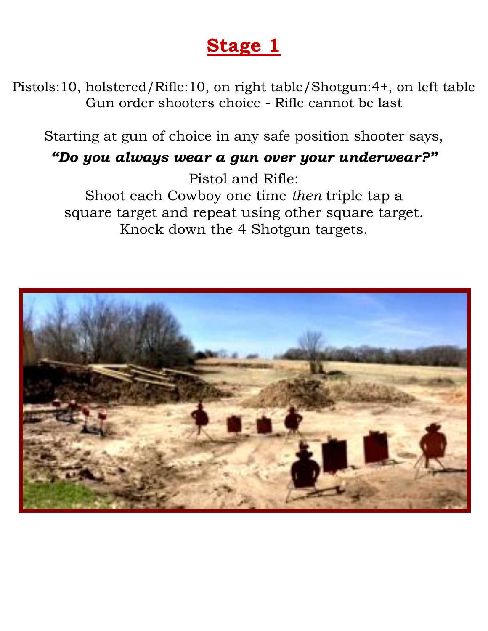Pistols:10, holstered/Rifle:10, on right table/Shotgun:4+, on left table Gun order shooters choice - Rifle cannot be last

Starting at gun of choice in any safe position shooter says,

#### *"Do you always wear a gun over your underwear?"*

Pistol and Rifle: Shoot each Cowboy one time *then* triple tap a square target and repeat using other square target. Knock down the 4 Shotgun targets.

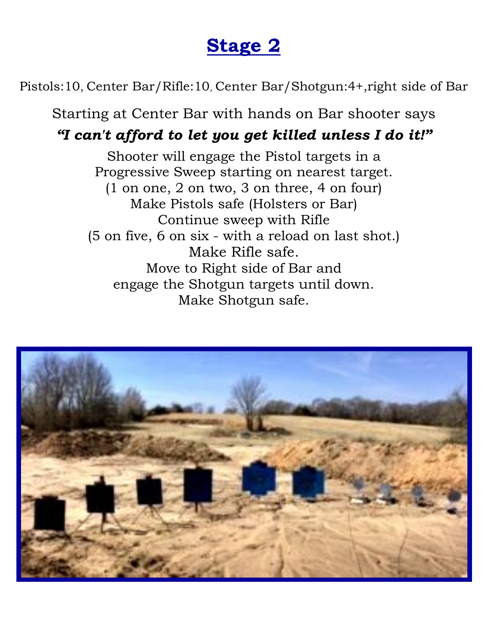Pistols:10, Center Bar/Rifle:10, Center Bar/Shotgun:4+,right side of Bar

Starting at Center Bar with hands on Bar shooter says *"I can't afford to let you get killed unless I do it!"*

Shooter will engage the Pistol targets in a Progressive Sweep starting on nearest target. (1 on one, 2 on two, 3 on three, 4 on four) Make Pistols safe (Holsters or Bar) Continue sweep with Rifle (5 on five, 6 on six - with a reload on last shot.) Make Rifle safe. Move to Right side of Bar and engage the Shotgun targets until down. Make Shotgun safe.

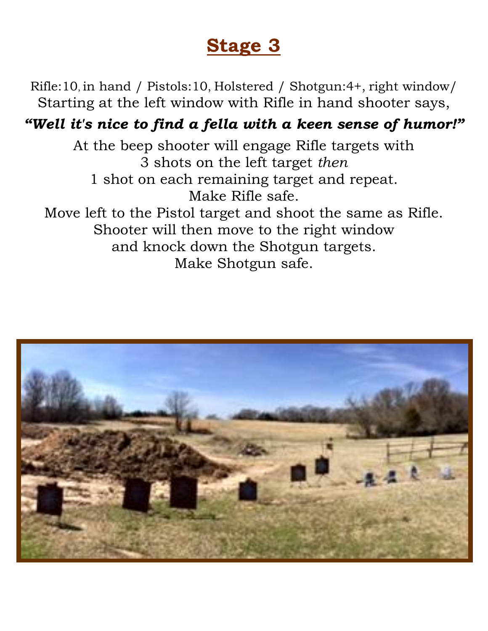Rifle:10, in hand / Pistols:10, Holstered / Shotgun:4+, right window/ Starting at the left window with Rifle in hand shooter says,

### *"Well it's nice to find a fella with a keen sense of humor!"*

At the beep shooter will engage Rifle targets with 3 shots on the left target *then*  1 shot on each remaining target and repeat. Make Rifle safe. Move left to the Pistol target and shoot the same as Rifle. Shooter will then move to the right window and knock down the Shotgun targets. Make Shotgun safe.

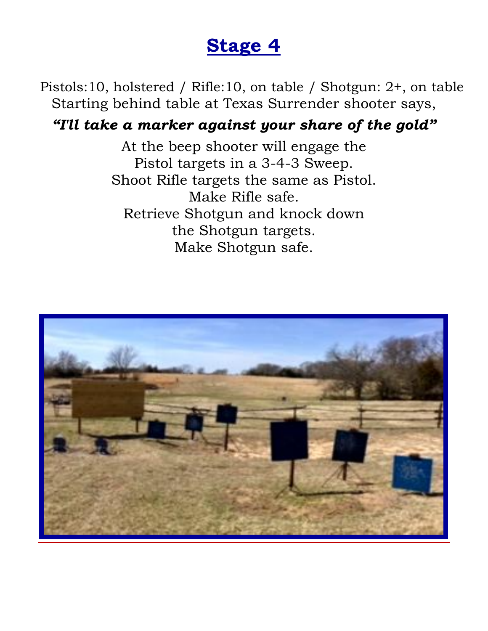Pistols:10, holstered / Rifle:10, on table / Shotgun: 2+, on table Starting behind table at Texas Surrender shooter says,

#### *"I'll take a marker against your share of the gold"*

At the beep shooter will engage the Pistol targets in a 3-4-3 Sweep. Shoot Rifle targets the same as Pistol. Make Rifle safe. Retrieve Shotgun and knock down the Shotgun targets. Make Shotgun safe.

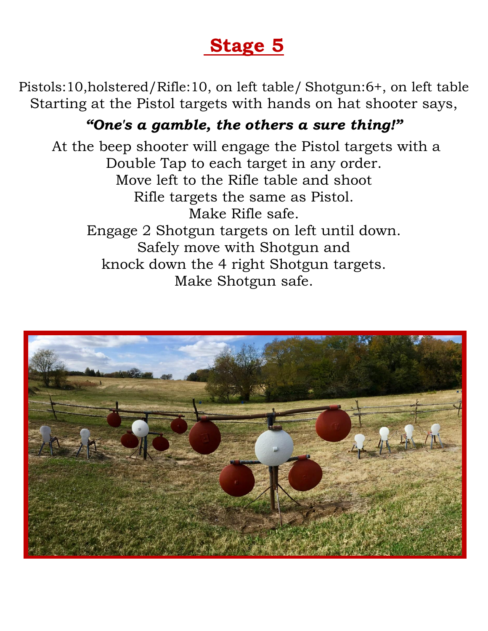Pistols:10,holstered/Rifle:10, on left table/ Shotgun:6+, on left table Starting at the Pistol targets with hands on hat shooter says,

### *"One's a gamble, the others a sure thing!"*

At the beep shooter will engage the Pistol targets with a Double Tap to each target in any order. Move left to the Rifle table and shoot Rifle targets the same as Pistol. Make Rifle safe. Engage 2 Shotgun targets on left until down. Safely move with Shotgun and knock down the 4 right Shotgun targets. Make Shotgun safe.